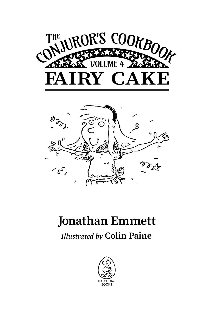



## **Jonathan Emmett**

## *Illustrated by* **Colin Paine**

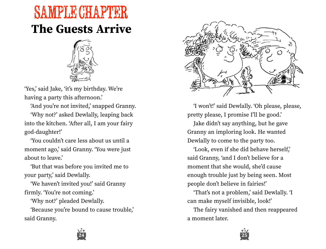## **The Guests Arrive** SAMPLE CHAPTER



ʻYes,' said Jake, ʻit's my birthday. We're having a party this afternoon.'

ʻAnd you're not invited,' snapped Granny. ʻWhy not?' asked Dewlally, leaping back into the kitchen. ʻAfter all, I am your fairy god-daughter!'

ʻYou couldn't care less about us until a moment ago,' said Granny. ʻYou were just about to leave.'

ʻBut that was before you invited me to your party,' said Dewlally.

ʻWe haven't invited you!' said Granny firmly. ʻYou're not coming.'

ʻWhy not?' pleaded Dewlally.

ʻBecause you're bound to cause trouble,' said Granny.



ʻI won't!' said Dewlally. ʻOh please, please, pretty please, I promise I'll be good.'

Jake didn't say anything, but he gave Granny an imploring look. He wanted Dewlally to come to the party too.

ʻLook, even if she did behave herself,' said Granny, ʻand I don't believe for a moment that she would, she'd cause enough trouble just by being seen. Most people don't believe in fairies!'

ʻThat's not a problem,' said Dewlally. ʻI can make myself invisible, look!'

The fairy vanished and then reappeared a moment later.



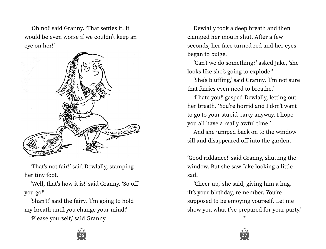ʻOh no!' said Granny. ʻThat settles it. It would be even worse if we couldn't keep an eye on her!'



ʻThat's not fair!' said Dewlally, stamping her tiny foot.

ʻWell, that's how it is!' said Granny. ʻSo off you go!'

ʻShan't!' said the fairy. ʻI'm going to hold my breath until you change your mind!'

ʻPlease yourself,' said Granny.

**26 27**

Dewlally took a deep breath and then clamped her mouth shut. After a few seconds, her face turned red and her eyes began to bulge.

ʻCan't we do something?' asked Jake, ʻshe looks like she's going to explode!'

ʻShe's bluffing,' said Granny. ʻI'm not sure that fairies even need to breathe.'

ʻI hate you!' gasped Dewlally, letting out her breath. ʻYou're horrid and I don't want to go to your stupid party anyway. I hope you all have a really awful time!'

And she jumped back on to the window sill and disappeared off into the garden.

ʻGood riddance!' said Granny, shutting the window. But she saw Jake looking a little sad.

ʻCheer up,' she said, giving him a hug. ʻIt's your birthday, remember. You're supposed to be enjoying yourself. Let me show you what I've prepared for your party.'

\*

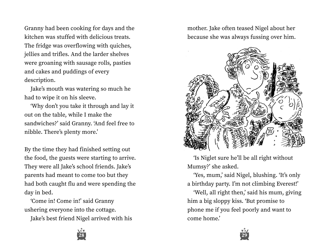Granny had been cooking for days and the kitchen was stuffed with delicious treats. The fridge was overflowing with quiches, jellies and trifles. And the larder shelves were groaning with sausage rolls, pasties and cakes and puddings of every description.

Jake's mouth was watering so much he had to wipe it on his sleeve.

ʻWhy don't you take it through and lay it out on the table, while I make the sandwiches?' said Granny. ʻAnd feel free to nibble. There's plenty more.'

By the time they had finished setting out the food, the guests were starting to arrive. They were all Jake's school friends. Jake's parents had meant to come too but they had both caught flu and were spending the day in bed.

ʻCome in! Come in!' said Granny ushering everyone into the cottage.

Jake's best friend Nigel arrived with his





ʻIs Niglet sure he'll be all right without Mumsy?' she asked.

ʻYes, mum,' said Nigel, blushing. ʻIt's only a birthday party. I'm not climbing Everest!'

ʻWell, all right then,' said his mum, giving him a big sloppy kiss. ʻBut promise to phone me if you feel poorly and want to come home.'